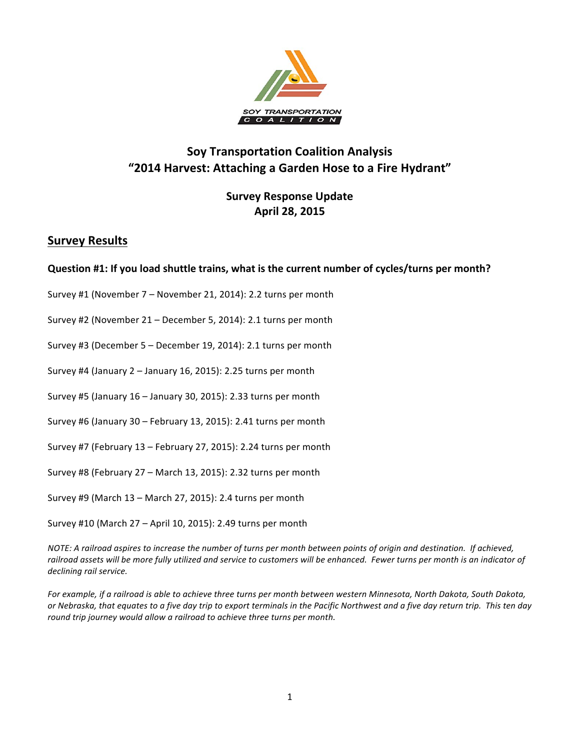

# **Soy Transportation Coalition Analysis** "2014 Harvest: Attaching a Garden Hose to a Fire Hydrant"

# **Survey Response Update April 28, 2015**

# **Survey Results**

## Question #1: If you load shuttle trains, what is the current number of cycles/turns per month?

Survey #1 (November 7 - November 21, 2014): 2.2 turns per month

Survey #2 (November  $21$  – December 5, 2014): 2.1 turns per month

Survey #3 (December  $5 -$  December 19, 2014): 2.1 turns per month

Survey #4 (January  $2$  – January 16, 2015): 2.25 turns per month

Survey #5 (January  $16$  – January 30, 2015): 2.33 turns per month

Survey #6 (January 30 - February 13, 2015): 2.41 turns per month

Survey #7 (February 13 - February 27, 2015): 2.24 turns per month

Survey #8 (February 27 – March 13, 2015): 2.32 turns per month

Survey #9 (March  $13$  – March 27, 2015): 2.4 turns per month

Survey #10 (March 27 - April 10, 2015): 2.49 turns per month

*NOTE:* A railroad aspires to increase the number of turns per month between points of origin and destination. If achieved, railroad assets will be more fully utilized and service to customers will be enhanced. Fewer turns per month is an indicator of declining rail service.

For example, if a railroad is able to achieve three turns per month between western Minnesota, North Dakota, South Dakota, or Nebraska, that equates to a five day trip to export terminals in the Pacific Northwest and a five day return trip. This ten day *round trip journey would allow a railroad to achieve three turns per month.*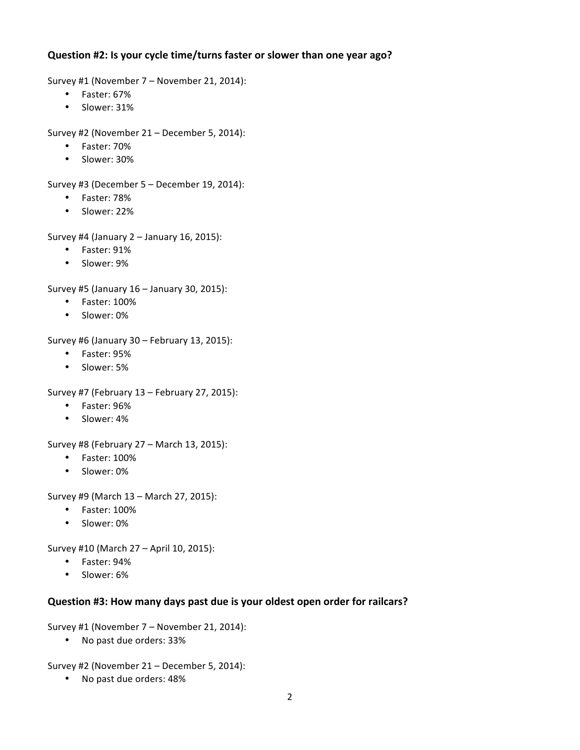## **Question #2: Is your cycle time/turns faster or slower than one year ago?**

Survey #1 (November 7 - November 21, 2014):

- Faster: 67%
- Slower: 31%

Survey #2 (November 21 - December 5, 2014):

- Faster: 70%
- Slower: 30%

Survey #3 (December 5 - December 19, 2014):

- Faster: 78%
- Slower: 22%

Survey #4 (January  $2$  – January 16, 2015):

- Faster: 91%
- Slower: 9%

Survey #5 (January 16 - January 30, 2015):

- Faster: 100%
- Slower: 0%

Survey #6 (January 30 - February 13, 2015):

- Faster: 95%
- Slower: 5%

Survey #7 (February 13 - February 27, 2015):

- Faster: 96%
- Slower: 4%

Survey #8 (February 27 - March 13, 2015):

- Faster: 100%
- Slower: 0%

Survey #9 (March 13 - March 27, 2015):

- Faster: 100%
- Slower: 0%

Survey #10 (March 27 - April 10, 2015):

- Faster: 94%
- Slower: 6%

## **Question #3: How many days past due is your oldest open order for railcars?**

Survey #1 (November 7 - November 21, 2014):

• No past due orders: 33%

Survey #2 (November 21 - December 5, 2014):

• No past due orders: 48%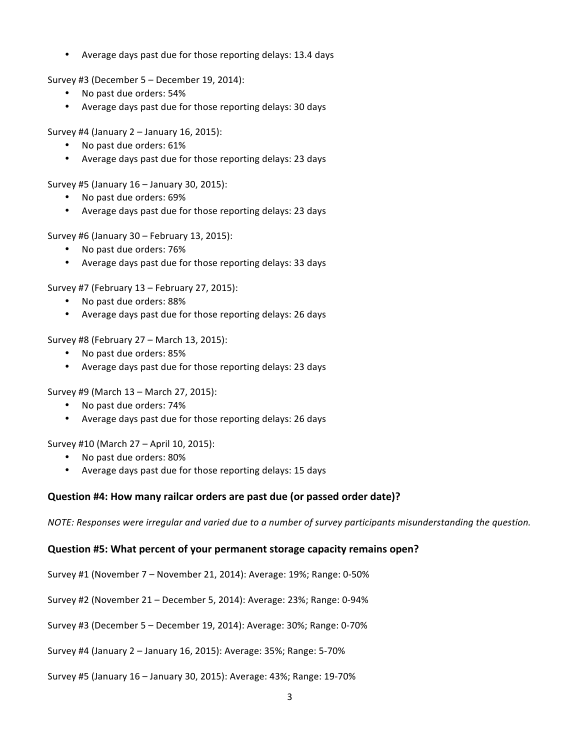• Average days past due for those reporting delays: 13.4 days

Survey #3 (December 5 - December 19, 2014):

- No past due orders: 54%
- Average days past due for those reporting delays: 30 days

Survey #4 (January  $2$  – January 16, 2015):

- No past due orders: 61%
- Average days past due for those reporting delays: 23 days

Survey #5 (January  $16 -$  January 30, 2015):

- No past due orders: 69%
- Average days past due for those reporting delays: 23 days

Survey #6 (January  $30$  – February 13, 2015):

- No past due orders: 76%
- Average days past due for those reporting delays: 33 days

Survey #7 (February 13 - February 27, 2015):

- No past due orders: 88%
- Average days past due for those reporting delays: 26 days

Survey #8 (February 27 - March 13, 2015):

- No past due orders: 85%
- Average days past due for those reporting delays: 23 days

Survey #9 (March 13 - March 27, 2015):

- No past due orders: 74%
- Average days past due for those reporting delays: 26 days

Survey #10 (March 27 – April 10, 2015):

- No past due orders: 80%
- Average days past due for those reporting delays: 15 days

### **Question #4: How many railcar orders are past due (or passed order date)?**

*NOTE:* Responses were irregular and varied due to a number of survey participants misunderstanding the question.

### **Question #5: What percent of your permanent storage capacity remains open?**

Survey #1 (November 7 – November 21, 2014): Average: 19%; Range: 0-50%

Survey #2 (November 21 - December 5, 2014): Average: 23%; Range: 0-94%

Survey #3 (December 5 - December 19, 2014): Average: 30%; Range: 0-70%

Survey #4 (January 2 - January 16, 2015): Average: 35%; Range: 5-70%

Survey #5 (January 16 - January 30, 2015): Average: 43%; Range: 19-70%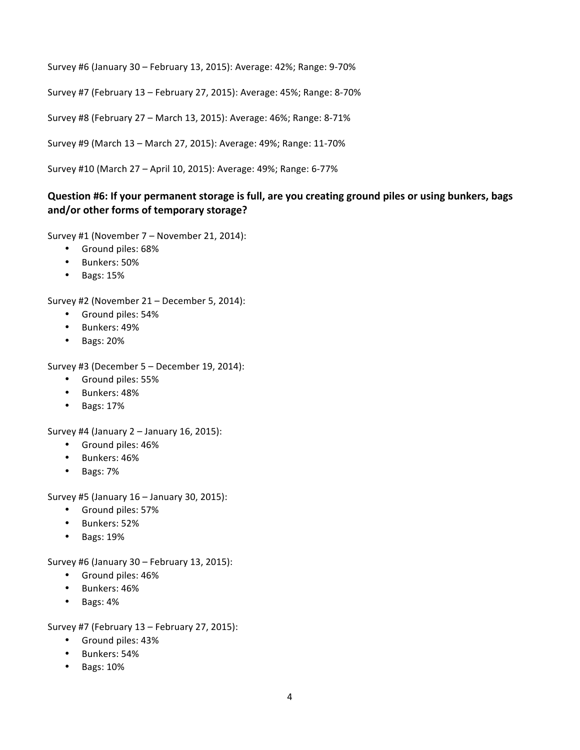Survey #6 (January 30 - February 13, 2015): Average: 42%; Range: 9-70%

Survey #7 (February 13 - February 27, 2015): Average: 45%; Range: 8-70%

Survey #8 (February 27 - March 13, 2015): Average: 46%; Range: 8-71%

Survey #9 (March 13 - March 27, 2015): Average: 49%; Range: 11-70%

Survey #10 (March 27 - April 10, 2015): Average: 49%; Range: 6-77%

# **Question #6: If your permanent storage is full, are you creating ground piles or using bunkers, bags** and/or other forms of temporary storage?

Survey #1 (November 7 - November 21, 2014):

- Ground piles: 68%
- Bunkers: 50%
- Bags: 15%

Survey #2 (November 21 - December 5, 2014):

- Ground piles: 54%
- Bunkers: 49%
- $\bullet$  Bags: 20%

Survey #3 (December 5 - December 19, 2014):

- Ground piles: 55%
- Bunkers: 48%
- $\bullet$  Bags: 17%

Survey #4 (January  $2$  – January 16, 2015):

- Ground piles: 46%
- Bunkers: 46%
- Bags: 7%

Survey #5 (January  $16 -$  January 30, 2015):

- Ground piles: 57%
- Bunkers: 52%
- $\bullet$  Bags: 19%

Survey #6 (January 30 - February 13, 2015):

- Ground piles: 46%
- Bunkers: 46%
- $\bullet$  Bags: 4%

Survey #7 (February 13 - February 27, 2015):

- Ground piles: 43%
- Bunkers: 54%
- $\bullet$  Bags: 10%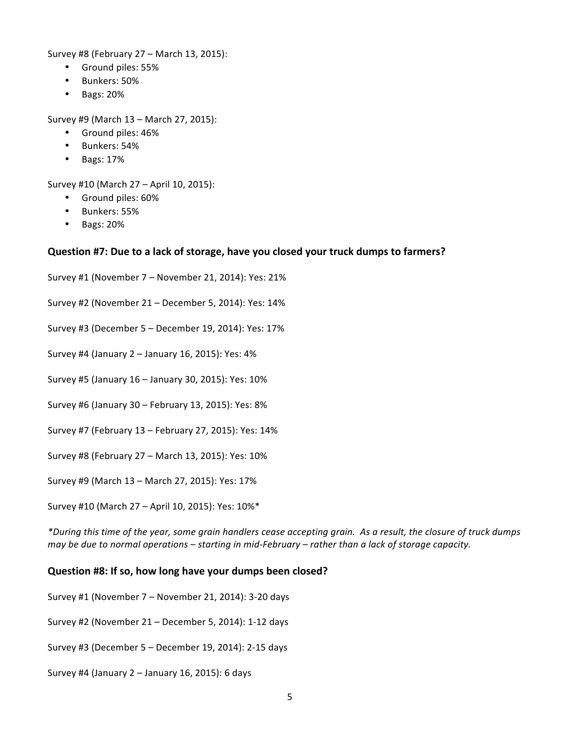Survey #8 (February 27 – March 13, 2015):

- Ground piles: 55%
- Bunkers: 50%
- $\bullet$  Bags: 20%

Survey #9 (March 13 - March 27, 2015):

- Ground piles: 46%
- Bunkers: 54%
- $\bullet$  Bags: 17%

Survey #10 (March 27 – April 10, 2015):

- Ground piles: 60%
- Bunkers: 55%
- $\bullet$  Bags: 20%

### **Question #7: Due to a lack of storage, have you closed your truck dumps to farmers?**

Survey #1 (November 7 - November 21, 2014): Yes: 21%

Survey #2 (November 21 - December 5, 2014): Yes: 14%

Survey #3 (December 5 - December 19, 2014): Yes: 17%

Survey #4 (January 2 - January 16, 2015): Yes: 4%

Survey #5 (January 16 - January 30, 2015): Yes: 10%

Survey #6 (January 30 – February 13, 2015): Yes: 8%

Survey #7 (February 13 - February 27, 2015): Yes: 14%

Survey #8 (February 27 - March 13, 2015): Yes: 10%

Survey #9 (March 13 - March 27, 2015): Yes: 17%

Survey #10 (March 27 - April 10, 2015): Yes: 10%\*

*\*During* this time of the year, some grain handlers cease accepting grain. As a result, the closure of truck dumps *may* be due to normal operations – starting in mid-February – rather than a lack of storage capacity.

### **Question #8: If so, how long have your dumps been closed?**

Survey #1 (November  $7 -$  November 21, 2014): 3-20 days

Survey #2 (November  $21$  – December 5, 2014): 1-12 days

Survey #3 (December  $5 -$ December 19, 2014): 2-15 days

Survey #4 (January  $2 -$  January 16, 2015): 6 days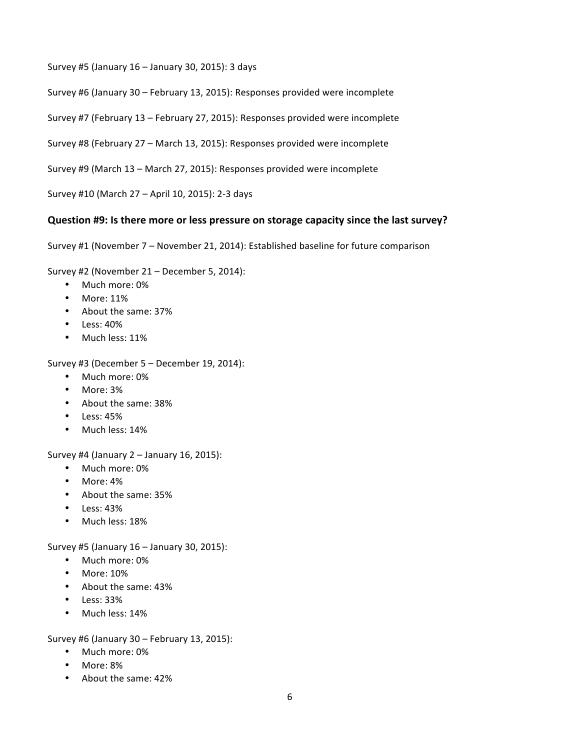Survey #5 (January  $16 -$  January  $30$ , 2015):  $3$  days

Survey #6 (January 30 - February 13, 2015): Responses provided were incomplete

Survey #7 (February 13 - February 27, 2015): Responses provided were incomplete

Survey #8 (February 27 - March 13, 2015): Responses provided were incomplete

Survey #9 (March 13 - March 27, 2015): Responses provided were incomplete

Survey #10 (March 27 - April 10, 2015): 2-3 days

### Question #9: Is there more or less pressure on storage capacity since the last survey?

Survey #1 (November  $7$  – November 21, 2014): Established baseline for future comparison

Survey #2 (November 21 – December 5, 2014):

- Much more: 0%
- $•$  More:  $11\%$
- About the same: 37%
- $\cdot$  Less: 40%
- Much less: 11%

Survey #3 (December 5 - December 19, 2014):

- Much more: 0%
- More: 3%
- About the same: 38%
- $\bullet$  Less: 45%
- Much less: 14%

Survey #4 (January  $2 -$  January 16, 2015):

- Much more: 0%
- More: 4%
- About the same: 35%
- $\cdot$  Less: 43%
- Much less: 18%

Survey #5 (January 16 - January 30, 2015):

- Much more: 0%
- $\bullet$  More: 10%
- About the same: 43%
- $\bullet$  Less: 33%
- Much less: 14%

Survey #6 (January 30 - February 13, 2015):

- Much more: 0%
- More: 8%
- About the same: 42%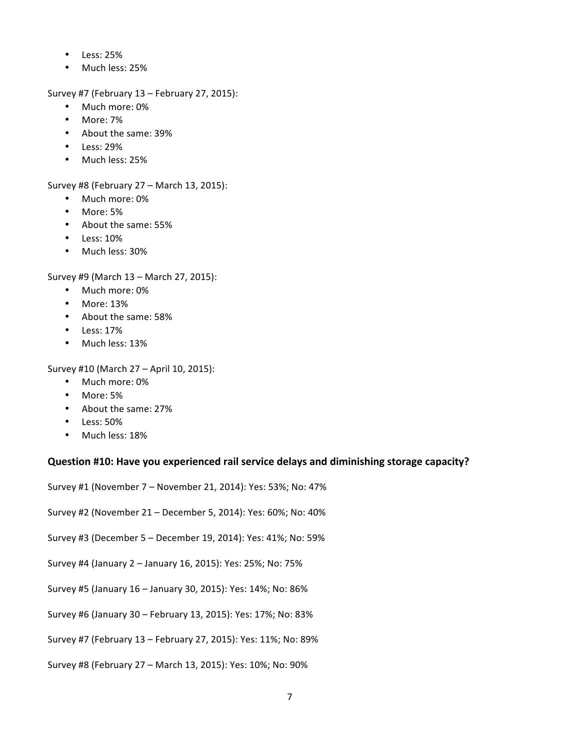- $\bullet$  Less: 25%
- Much less: 25%

Survey #7 (February  $13$  – February 27, 2015):

- Much more: 0%
- More: 7%
- About the same: 39%
- Less: 29%
- Much less: 25%

Survey #8 (February 27 - March 13, 2015):

- Much more: 0%
- More: 5%
- About the same: 55%
- $\cdot$  Less: 10%
- Much less: 30%

Survey #9 (March 13 – March 27, 2015):

- Much more: 0%
- More: 13%
- About the same: 58%
- $\bullet$  Less: 17%
- Much less: 13%

Survey #10 (March 27 - April 10, 2015):

- Much more: 0%
- More: 5%
- About the same: 27%
- Less: 50%
- Much less: 18%

## **Question #10: Have you experienced rail service delays and diminishing storage capacity?**

Survey #1 (November 7 - November 21, 2014): Yes: 53%; No: 47%

Survey #2 (November 21 - December 5, 2014): Yes: 60%; No: 40%

Survey #3 (December 5 - December 19, 2014): Yes: 41%; No: 59%

- Survey #4 (January 2 – January 16, 2015): Yes: 25%; No: 75%
- Survey #5 (January 16 January 30, 2015): Yes: 14%; No: 86%
- Survey #6 (January 30 February 13, 2015): Yes: 17%; No: 83%
- Survey #7 (February 13 February 27, 2015): Yes: 11%; No: 89%

Survey #8 (February 27 – March 13, 2015): Yes: 10%; No: 90%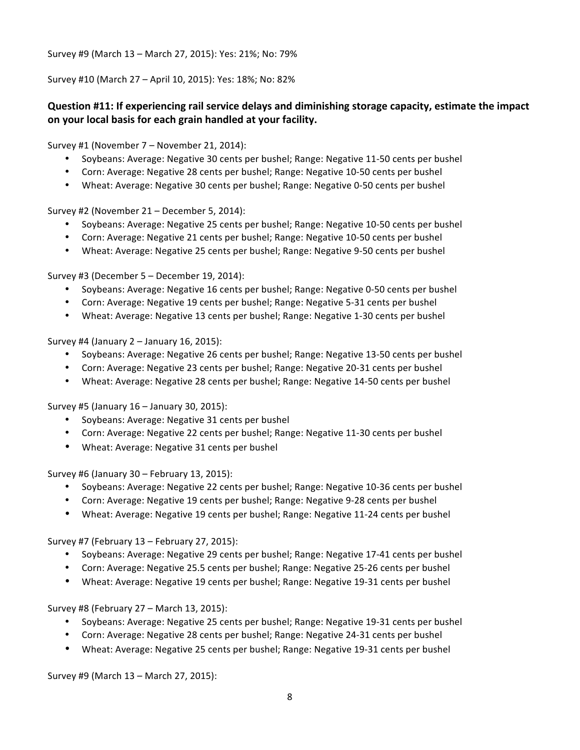Survey #9 (March 13 - March 27, 2015): Yes: 21%; No: 79%

Survey #10 (March 27 - April 10, 2015): Yes: 18%; No: 82%

# **Question #11: If experiencing rail service delays and diminishing storage capacity, estimate the impact** on your local basis for each grain handled at your facility.

Survey #1 (November 7 - November 21, 2014):

- Soybeans: Average: Negative 30 cents per bushel; Range: Negative 11-50 cents per bushel
- Corn: Average: Negative 28 cents per bushel; Range: Negative 10-50 cents per bushel
- Wheat: Average: Negative 30 cents per bushel; Range: Negative 0-50 cents per bushel

Survey #2 (November 21 - December 5, 2014):

- Soybeans: Average: Negative 25 cents per bushel; Range: Negative 10-50 cents per bushel
- Corn: Average: Negative 21 cents per bushel; Range: Negative 10-50 cents per bushel
- Wheat: Average: Negative 25 cents per bushel; Range: Negative 9-50 cents per bushel

Survey #3 (December 5 - December 19, 2014):

- Soybeans: Average: Negative 16 cents per bushel; Range: Negative 0-50 cents per bushel
- Corn: Average: Negative 19 cents per bushel; Range: Negative 5-31 cents per bushel
- Wheat: Average: Negative 13 cents per bushel; Range: Negative 1-30 cents per bushel

Survey #4 (January  $2 -$  January 16, 2015):

- Soybeans: Average: Negative 26 cents per bushel; Range: Negative 13-50 cents per bushel
- Corn: Average: Negative 23 cents per bushel; Range: Negative 20-31 cents per bushel
- Wheat: Average: Negative 28 cents per bushel; Range: Negative 14-50 cents per bushel

Survey #5 (January  $16 -$  January  $30$ , 2015):

- Soybeans: Average: Negative 31 cents per bushel
- Corn: Average: Negative 22 cents per bushel; Range: Negative 11-30 cents per bushel
- Wheat: Average: Negative 31 cents per bushel

Survey #6 (January  $30$  – February 13, 2015):

- Soybeans: Average: Negative 22 cents per bushel; Range: Negative 10-36 cents per bushel
- Corn: Average: Negative 19 cents per bushel; Range: Negative 9-28 cents per bushel
- Wheat: Average: Negative 19 cents per bushel; Range: Negative 11-24 cents per bushel

Survey #7 (February 13 - February 27, 2015):

- Soybeans: Average: Negative 29 cents per bushel; Range: Negative 17-41 cents per bushel
- Corn: Average: Negative 25.5 cents per bushel; Range: Negative 25-26 cents per bushel
- Wheat: Average: Negative 19 cents per bushel; Range: Negative 19-31 cents per bushel

Survey #8 (February 27 - March 13, 2015):

- Soybeans: Average: Negative 25 cents per bushel; Range: Negative 19-31 cents per bushel
- Corn: Average: Negative 28 cents per bushel; Range: Negative 24-31 cents per bushel
- Wheat: Average: Negative 25 cents per bushel; Range: Negative 19-31 cents per bushel

Survey #9 (March 13 – March 27, 2015):